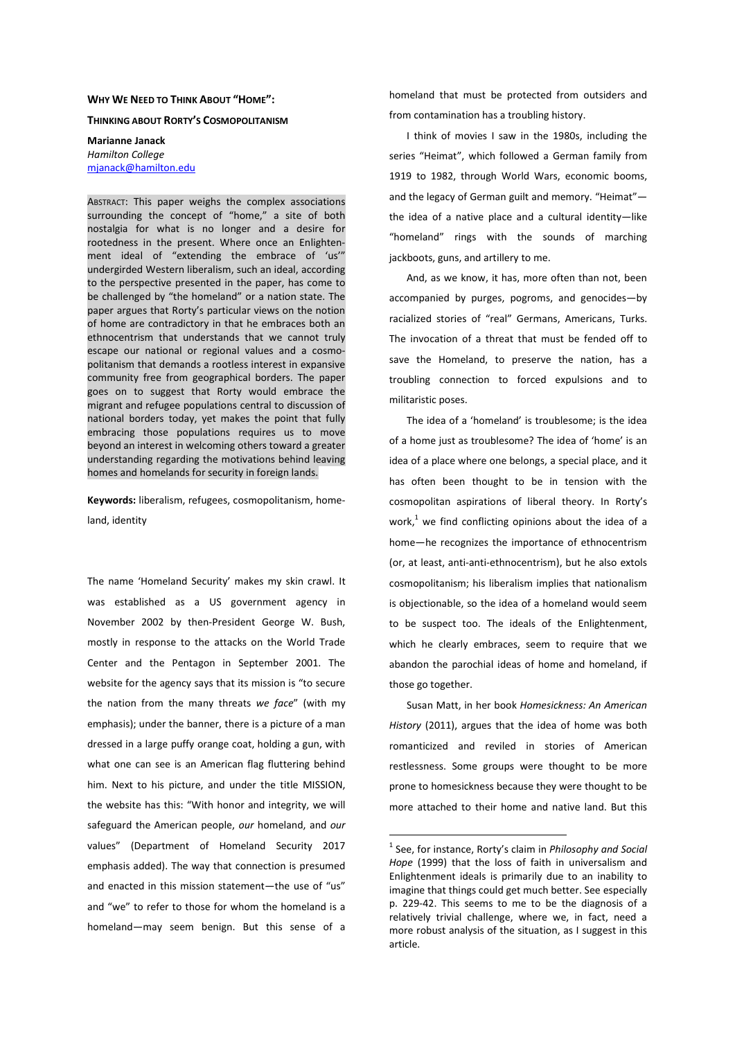## WHY WE NEED TO THINK ABOUT "HOME":

THINKING ABOUT RORTY'S COSMOPOLITANISM

Marianne Janack Hamilton College mjanack@hamilton.edu

ABSTRACT: This paper weighs the complex associations surrounding the concept of "home," a site of both nostalgia for what is no longer and a desire for rootedness in the present. Where once an Enlightenment ideal of "extending the embrace of 'us'" undergirded Western liberalism, such an ideal, according to the perspective presented in the paper, has come to be challenged by "the homeland" or a nation state. The paper argues that Rorty's particular views on the notion of home are contradictory in that he embraces both an ethnocentrism that understands that we cannot truly escape our national or regional values and a cosmopolitanism that demands a rootless interest in expansive community free from geographical borders. The paper goes on to suggest that Rorty would embrace the migrant and refugee populations central to discussion of national borders today, yet makes the point that fully embracing those populations requires us to move beyond an interest in welcoming others toward a greater understanding regarding the motivations behind leaving homes and homelands for security in foreign lands.

Keywords: liberalism, refugees, cosmopolitanism, homeland, identity

The name 'Homeland Security' makes my skin crawl. It was established as a US government agency in November 2002 by then-President George W. Bush, mostly in response to the attacks on the World Trade Center and the Pentagon in September 2001. The website for the agency says that its mission is "to secure the nation from the many threats we face" (with my emphasis); under the banner, there is a picture of a man dressed in a large puffy orange coat, holding a gun, with what one can see is an American flag fluttering behind him. Next to his picture, and under the title MISSION, the website has this: "With honor and integrity, we will safeguard the American people, our homeland, and our values" (Department of Homeland Security 2017 emphasis added). The way that connection is presumed and enacted in this mission statement—the use of "us" and "we" to refer to those for whom the homeland is a homeland—may seem benign. But this sense of a homeland that must be protected from outsiders and from contamination has a troubling history.

I think of movies I saw in the 1980s, including the series "Heimat", which followed a German family from 1919 to 1982, through World Wars, economic booms, and the legacy of German guilt and memory. "Heimat" the idea of a native place and a cultural identity—like "homeland" rings with the sounds of marching jackboots, guns, and artillery to me.

And, as we know, it has, more often than not, been accompanied by purges, pogroms, and genocides—by racialized stories of "real" Germans, Americans, Turks. The invocation of a threat that must be fended off to save the Homeland, to preserve the nation, has a troubling connection to forced expulsions and to militaristic poses.

The idea of a 'homeland' is troublesome; is the idea of a home just as troublesome? The idea of 'home' is an idea of a place where one belongs, a special place, and it has often been thought to be in tension with the cosmopolitan aspirations of liberal theory. In Rorty's work, $1$  we find conflicting opinions about the idea of a home—he recognizes the importance of ethnocentrism (or, at least, anti-anti-ethnocentrism), but he also extols cosmopolitanism; his liberalism implies that nationalism is objectionable, so the idea of a homeland would seem to be suspect too. The ideals of the Enlightenment, which he clearly embraces, seem to require that we abandon the parochial ideas of home and homeland, if those go together.

Susan Matt, in her book Homesickness: An American History (2011), argues that the idea of home was both romanticized and reviled in stories of American restlessness. Some groups were thought to be more prone to homesickness because they were thought to be more attached to their home and native land. But this

-

 $1$  See, for instance, Rorty's claim in Philosophy and Social Hope (1999) that the loss of faith in universalism and Enlightenment ideals is primarily due to an inability to imagine that things could get much better. See especially p. 229-42. This seems to me to be the diagnosis of a relatively trivial challenge, where we, in fact, need a more robust analysis of the situation, as I suggest in this article.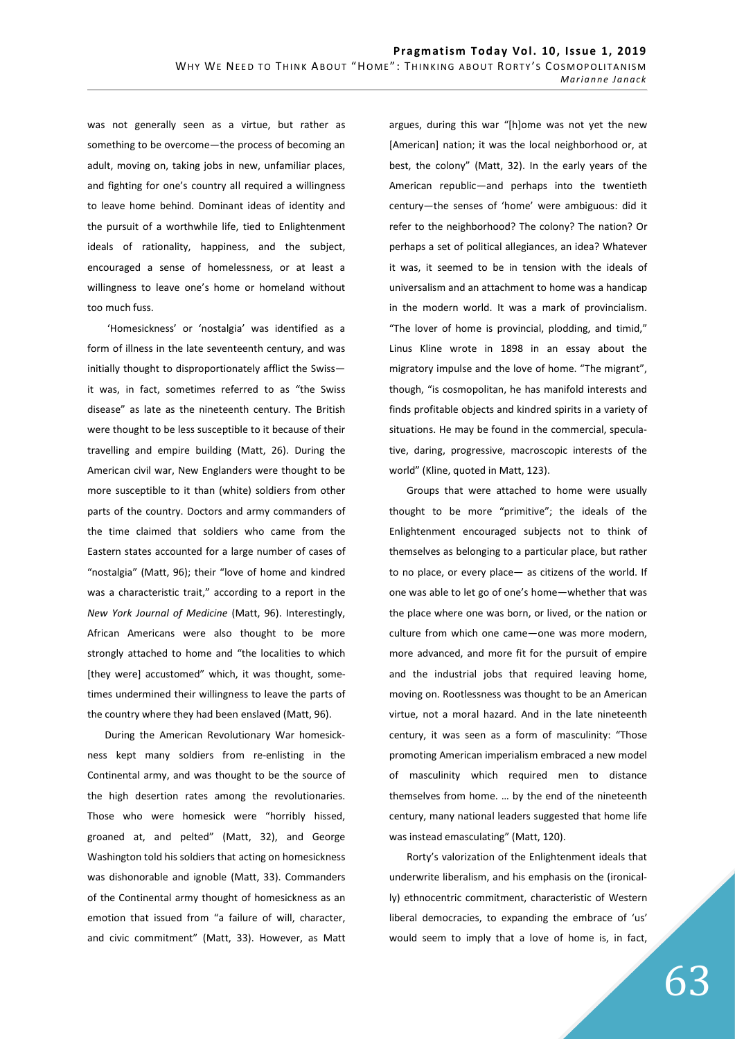was not generally seen as a virtue, but rather as something to be overcome—the process of becoming an adult, moving on, taking jobs in new, unfamiliar places, and fighting for one's country all required a willingness to leave home behind. Dominant ideas of identity and the pursuit of a worthwhile life, tied to Enlightenment ideals of rationality, happiness, and the subject, encouraged a sense of homelessness, or at least a willingness to leave one's home or homeland without too much fuss.

 'Homesickness' or 'nostalgia' was identified as a form of illness in the late seventeenth century, and was initially thought to disproportionately afflict the Swiss it was, in fact, sometimes referred to as "the Swiss disease" as late as the nineteenth century. The British were thought to be less susceptible to it because of their travelling and empire building (Matt, 26). During the American civil war, New Englanders were thought to be more susceptible to it than (white) soldiers from other parts of the country. Doctors and army commanders of the time claimed that soldiers who came from the Eastern states accounted for a large number of cases of "nostalgia" (Matt, 96); their "love of home and kindred was a characteristic trait," according to a report in the New York Journal of Medicine (Matt, 96). Interestingly, African Americans were also thought to be more strongly attached to home and "the localities to which [they were] accustomed" which, it was thought, sometimes undermined their willingness to leave the parts of the country where they had been enslaved (Matt, 96).

During the American Revolutionary War homesickness kept many soldiers from re-enlisting in the Continental army, and was thought to be the source of the high desertion rates among the revolutionaries. Those who were homesick were "horribly hissed, groaned at, and pelted" (Matt, 32), and George Washington told his soldiers that acting on homesickness was dishonorable and ignoble (Matt, 33). Commanders of the Continental army thought of homesickness as an emotion that issued from "a failure of will, character, and civic commitment" (Matt, 33). However, as Matt argues, during this war "[h]ome was not yet the new [American] nation; it was the local neighborhood or, at best, the colony" (Matt, 32). In the early years of the American republic—and perhaps into the twentieth century—the senses of 'home' were ambiguous: did it refer to the neighborhood? The colony? The nation? Or perhaps a set of political allegiances, an idea? Whatever it was, it seemed to be in tension with the ideals of universalism and an attachment to home was a handicap in the modern world. It was a mark of provincialism. "The lover of home is provincial, plodding, and timid," Linus Kline wrote in 1898 in an essay about the migratory impulse and the love of home. "The migrant", though, "is cosmopolitan, he has manifold interests and finds profitable objects and kindred spirits in a variety of situations. He may be found in the commercial, speculative, daring, progressive, macroscopic interests of the world" (Kline, quoted in Matt, 123).

Groups that were attached to home were usually thought to be more "primitive"; the ideals of the Enlightenment encouraged subjects not to think of themselves as belonging to a particular place, but rather to no place, or every place— as citizens of the world. If one was able to let go of one's home—whether that was the place where one was born, or lived, or the nation or culture from which one came—one was more modern, more advanced, and more fit for the pursuit of empire and the industrial jobs that required leaving home, moving on. Rootlessness was thought to be an American virtue, not a moral hazard. And in the late nineteenth century, it was seen as a form of masculinity: "Those promoting American imperialism embraced a new model of masculinity which required men to distance themselves from home. … by the end of the nineteenth century, many national leaders suggested that home life was instead emasculating" (Matt, 120).

Rorty's valorization of the Enlightenment ideals that underwrite liberalism, and his emphasis on the (ironically) ethnocentric commitment, characteristic of Western liberal democracies, to expanding the embrace of 'us' would seem to imply that a love of home is, in fact,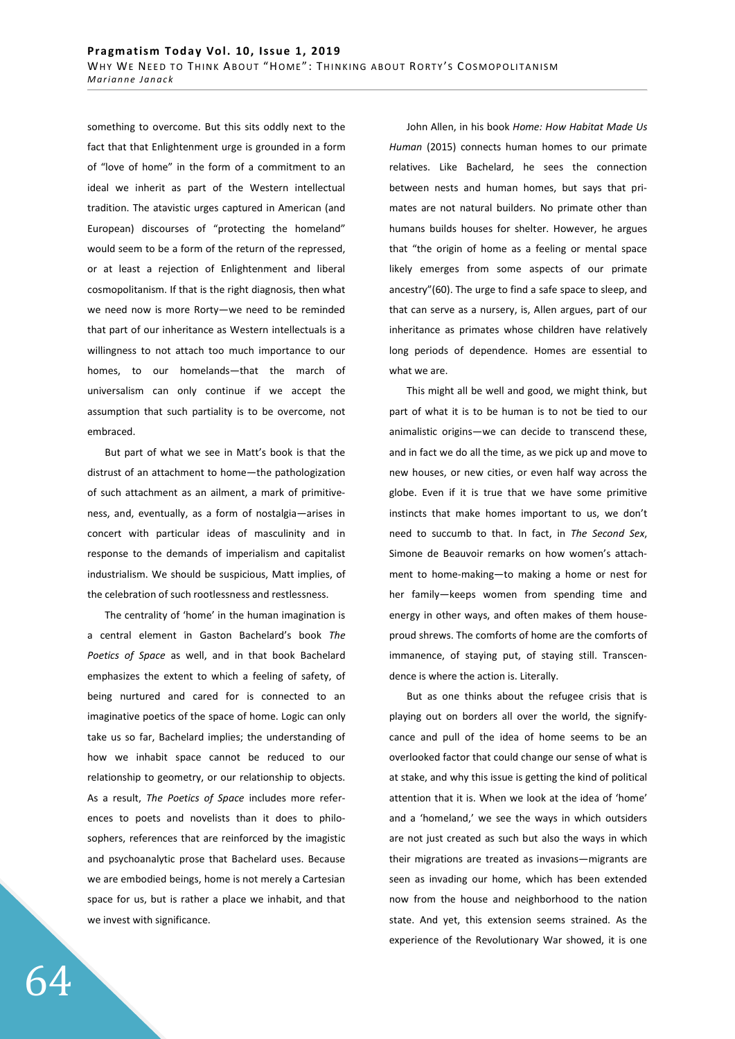something to overcome. But this sits oddly next to the fact that that Enlightenment urge is grounded in a form of "love of home" in the form of a commitment to an ideal we inherit as part of the Western intellectual tradition. The atavistic urges captured in American (and European) discourses of "protecting the homeland" would seem to be a form of the return of the repressed, or at least a rejection of Enlightenment and liberal cosmopolitanism. If that is the right diagnosis, then what we need now is more Rorty—we need to be reminded that part of our inheritance as Western intellectuals is a willingness to not attach too much importance to our homes, to our homelands—that the march of universalism can only continue if we accept the assumption that such partiality is to be overcome, not embraced.

But part of what we see in Matt's book is that the distrust of an attachment to home—the pathologization of such attachment as an ailment, a mark of primitiveness, and, eventually, as a form of nostalgia—arises in concert with particular ideas of masculinity and in response to the demands of imperialism and capitalist industrialism. We should be suspicious, Matt implies, of the celebration of such rootlessness and restlessness.

The centrality of 'home' in the human imagination is a central element in Gaston Bachelard's book The Poetics of Space as well, and in that book Bachelard emphasizes the extent to which a feeling of safety, of being nurtured and cared for is connected to an imaginative poetics of the space of home. Logic can only take us so far, Bachelard implies; the understanding of how we inhabit space cannot be reduced to our relationship to geometry, or our relationship to objects. As a result, The Poetics of Space includes more references to poets and novelists than it does to philosophers, references that are reinforced by the imagistic and psychoanalytic prose that Bachelard uses. Because we are embodied beings, home is not merely a Cartesian space for us, but is rather a place we inhabit, and that we invest with significance.

John Allen, in his book Home: How Habitat Made Us Human (2015) connects human homes to our primate relatives. Like Bachelard, he sees the connection between nests and human homes, but says that primates are not natural builders. No primate other than humans builds houses for shelter. However, he argues that "the origin of home as a feeling or mental space likely emerges from some aspects of our primate ancestry"(60). The urge to find a safe space to sleep, and that can serve as a nursery, is, Allen argues, part of our inheritance as primates whose children have relatively long periods of dependence. Homes are essential to what we are.

This might all be well and good, we might think, but part of what it is to be human is to not be tied to our animalistic origins—we can decide to transcend these, and in fact we do all the time, as we pick up and move to new houses, or new cities, or even half way across the globe. Even if it is true that we have some primitive instincts that make homes important to us, we don't need to succumb to that. In fact, in The Second Sex, Simone de Beauvoir remarks on how women's attachment to home-making—to making a home or nest for her family—keeps women from spending time and energy in other ways, and often makes of them houseproud shrews. The comforts of home are the comforts of immanence, of staying put, of staying still. Transcendence is where the action is. Literally.

But as one thinks about the refugee crisis that is playing out on borders all over the world, the signifycance and pull of the idea of home seems to be an overlooked factor that could change our sense of what is at stake, and why this issue is getting the kind of political attention that it is. When we look at the idea of 'home' and a 'homeland,' we see the ways in which outsiders are not just created as such but also the ways in which their migrations are treated as invasions—migrants are seen as invading our home, which has been extended now from the house and neighborhood to the nation state. And yet, this extension seems strained. As the experience of the Revolutionary War showed, it is one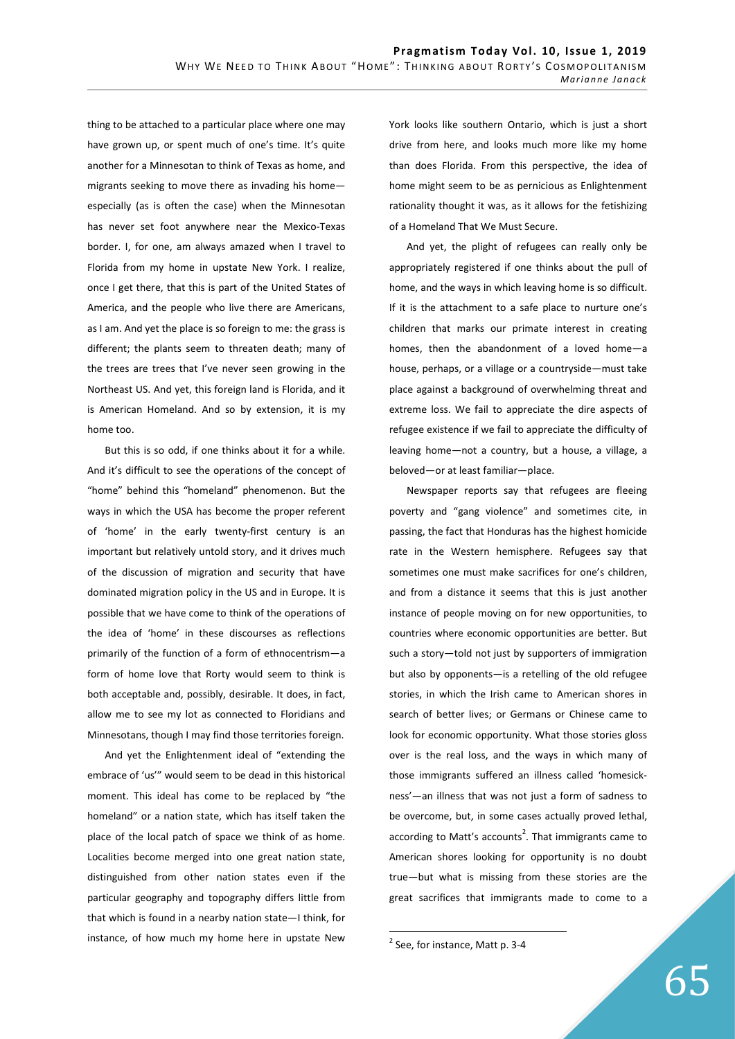thing to be attached to a particular place where one may have grown up, or spent much of one's time. It's quite another for a Minnesotan to think of Texas as home, and migrants seeking to move there as invading his home especially (as is often the case) when the Minnesotan has never set foot anywhere near the Mexico-Texas border. I, for one, am always amazed when I travel to Florida from my home in upstate New York. I realize, once I get there, that this is part of the United States of America, and the people who live there are Americans, as I am. And yet the place is so foreign to me: the grass is different; the plants seem to threaten death; many of the trees are trees that I've never seen growing in the Northeast US. And yet, this foreign land is Florida, and it is American Homeland. And so by extension, it is my home too.

But this is so odd, if one thinks about it for a while. And it's difficult to see the operations of the concept of "home" behind this "homeland" phenomenon. But the ways in which the USA has become the proper referent of 'home' in the early twenty-first century is an important but relatively untold story, and it drives much of the discussion of migration and security that have dominated migration policy in the US and in Europe. It is possible that we have come to think of the operations of the idea of 'home' in these discourses as reflections primarily of the function of a form of ethnocentrism—a form of home love that Rorty would seem to think is both acceptable and, possibly, desirable. It does, in fact, allow me to see my lot as connected to Floridians and Minnesotans, though I may find those territories foreign.

And yet the Enlightenment ideal of "extending the embrace of 'us'" would seem to be dead in this historical moment. This ideal has come to be replaced by "the homeland" or a nation state, which has itself taken the place of the local patch of space we think of as home. Localities become merged into one great nation state, distinguished from other nation states even if the particular geography and topography differs little from that which is found in a nearby nation state—I think, for instance, of how much my home here in upstate New

York looks like southern Ontario, which is just a short drive from here, and looks much more like my home than does Florida. From this perspective, the idea of home might seem to be as pernicious as Enlightenment rationality thought it was, as it allows for the fetishizing of a Homeland That We Must Secure.

And yet, the plight of refugees can really only be appropriately registered if one thinks about the pull of home, and the ways in which leaving home is so difficult. If it is the attachment to a safe place to nurture one's children that marks our primate interest in creating homes, then the abandonment of a loved home—a house, perhaps, or a village or a countryside—must take place against a background of overwhelming threat and extreme loss. We fail to appreciate the dire aspects of refugee existence if we fail to appreciate the difficulty of leaving home—not a country, but a house, a village, a beloved—or at least familiar—place.

Newspaper reports say that refugees are fleeing poverty and "gang violence" and sometimes cite, in passing, the fact that Honduras has the highest homicide rate in the Western hemisphere. Refugees say that sometimes one must make sacrifices for one's children, and from a distance it seems that this is just another instance of people moving on for new opportunities, to countries where economic opportunities are better. But such a story—told not just by supporters of immigration but also by opponents—is a retelling of the old refugee stories, in which the Irish came to American shores in search of better lives; or Germans or Chinese came to look for economic opportunity. What those stories gloss over is the real loss, and the ways in which many of those immigrants suffered an illness called 'homesickness'—an illness that was not just a form of sadness to be overcome, but, in some cases actually proved lethal, according to Matt's accounts<sup>2</sup>. That immigrants came to American shores looking for opportunity is no doubt true—but what is missing from these stories are the great sacrifices that immigrants made to come to a

-

 $2$  See, for instance, Matt p. 3-4